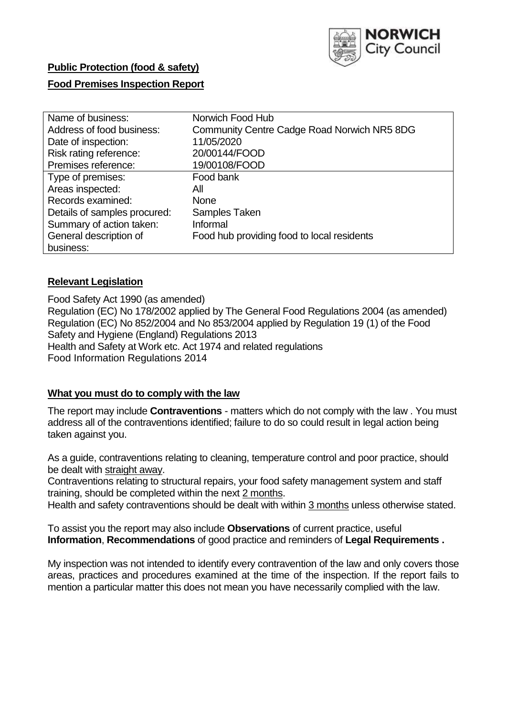

# **Public Protection (food & safety)**

# **Food Premises Inspection Report**

| Name of business:            | Norwich Food Hub                            |
|------------------------------|---------------------------------------------|
| Address of food business:    | Community Centre Cadge Road Norwich NR5 8DG |
| Date of inspection:          | 11/05/2020                                  |
| Risk rating reference:       | 20/00144/FOOD                               |
| Premises reference:          | 19/00108/FOOD                               |
| Type of premises:            | Food bank                                   |
| Areas inspected:             | All                                         |
| Records examined:            | <b>None</b>                                 |
| Details of samples procured: | Samples Taken                               |
| Summary of action taken:     | Informal                                    |
| General description of       | Food hub providing food to local residents  |
| business:                    |                                             |

# **Relevant Legislation**

Food Safety Act 1990 (as amended) Regulation (EC) No 178/2002 applied by The General Food Regulations 2004 (as amended) Regulation (EC) No 852/2004 and No 853/2004 applied by Regulation 19 (1) of the Food Safety and Hygiene (England) Regulations 2013 Health and Safety at Work etc. Act 1974 and related regulations Food Information Regulations 2014

#### **What you must do to comply with the law**

The report may include **Contraventions** - matters which do not comply with the law . You must address all of the contraventions identified; failure to do so could result in legal action being taken against you.

As a guide, contraventions relating to cleaning, temperature control and poor practice, should be dealt with straight away.

Contraventions relating to structural repairs, your food safety management system and staff training, should be completed within the next 2 months.

Health and safety contraventions should be dealt with within 3 months unless otherwise stated.

To assist you the report may also include **Observations** of current practice, useful **Information**, **Recommendations** of good practice and reminders of **Legal Requirements .**

My inspection was not intended to identify every contravention of the law and only covers those areas, practices and procedures examined at the time of the inspection. If the report fails to mention a particular matter this does not mean you have necessarily complied with the law.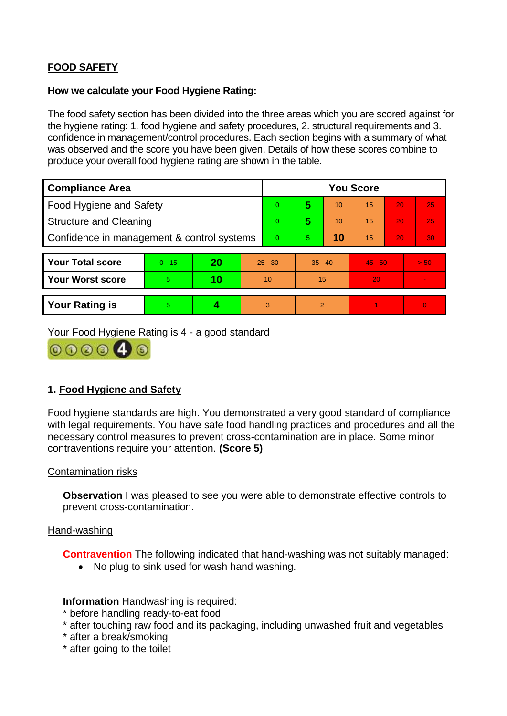# **FOOD SAFETY**

### **How we calculate your Food Hygiene Rating:**

The food safety section has been divided into the three areas which you are scored against for the hygiene rating: 1. food hygiene and safety procedures, 2. structural requirements and 3. confidence in management/control procedures. Each section begins with a summary of what was observed and the score you have been given. Details of how these scores combine to produce your overall food hygiene rating are shown in the table.

| <b>Compliance Area</b>                     |          |    |    | <b>You Score</b> |                |    |           |    |                |  |  |
|--------------------------------------------|----------|----|----|------------------|----------------|----|-----------|----|----------------|--|--|
| Food Hygiene and Safety                    |          |    |    | $\Omega$         | 5              | 10 | 15        | 20 | 25             |  |  |
| <b>Structure and Cleaning</b>              |          |    |    | $\Omega$         | 5              | 10 | 15        | 20 | 25             |  |  |
| Confidence in management & control systems |          |    |    | $\Omega$         | 5              | 10 | 15        | 20 | 30             |  |  |
|                                            |          |    |    |                  |                |    |           |    |                |  |  |
| <b>Your Total score</b>                    | $0 - 15$ | 20 |    | $25 - 30$        | $35 - 40$      |    | $45 - 50$ |    | > 50           |  |  |
| <b>Your Worst score</b>                    | 5        | 10 | 10 |                  | 15             |    | 20        |    | $\blacksquare$ |  |  |
|                                            |          |    |    |                  |                |    |           |    |                |  |  |
| <b>Your Rating is</b>                      | 5        |    |    | 3                | $\overline{2}$ |    |           |    | $\overline{0}$ |  |  |

Your Food Hygiene Rating is 4 - a good standard



# **1. Food Hygiene and Safety**

Food hygiene standards are high. You demonstrated a very good standard of compliance with legal requirements. You have safe food handling practices and procedures and all the necessary control measures to prevent cross-contamination are in place. Some minor contraventions require your attention. **(Score 5)**

# Contamination risks

**Observation** I was pleased to see you were able to demonstrate effective controls to prevent cross-contamination.

# Hand-washing

**Contravention** The following indicated that hand-washing was not suitably managed:

• No plug to sink used for wash hand washing.

**Information** Handwashing is required:

- \* before handling ready-to-eat food
- \* after touching raw food and its packaging, including unwashed fruit and vegetables
- \* after a break/smoking
- \* after going to the toilet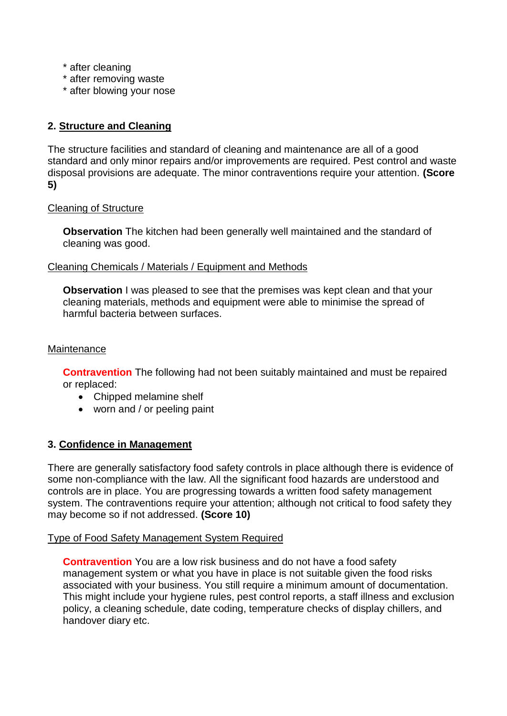- \* after cleaning
- \* after removing waste
- \* after blowing your nose

# **2. Structure and Cleaning**

The structure facilities and standard of cleaning and maintenance are all of a good standard and only minor repairs and/or improvements are required. Pest control and waste disposal provisions are adequate. The minor contraventions require your attention. **(Score 5)**

# Cleaning of Structure

**Observation** The kitchen had been generally well maintained and the standard of cleaning was good.

# Cleaning Chemicals / Materials / Equipment and Methods

**Observation** I was pleased to see that the premises was kept clean and that your cleaning materials, methods and equipment were able to minimise the spread of harmful bacteria between surfaces.

# Maintenance

**Contravention** The following had not been suitably maintained and must be repaired or replaced:

- Chipped melamine shelf
- worn and / or peeling paint

# **3. Confidence in Management**

There are generally satisfactory food safety controls in place although there is evidence of some non-compliance with the law. All the significant food hazards are understood and controls are in place. You are progressing towards a written food safety management system. The contraventions require your attention; although not critical to food safety they may become so if not addressed. **(Score 10)**

# Type of Food Safety Management System Required

**Contravention** You are a low risk business and do not have a food safety management system or what you have in place is not suitable given the food risks associated with your business. You still require a minimum amount of documentation. This might include your hygiene rules, pest control reports, a staff illness and exclusion policy, a cleaning schedule, date coding, temperature checks of display chillers, and handover diary etc.